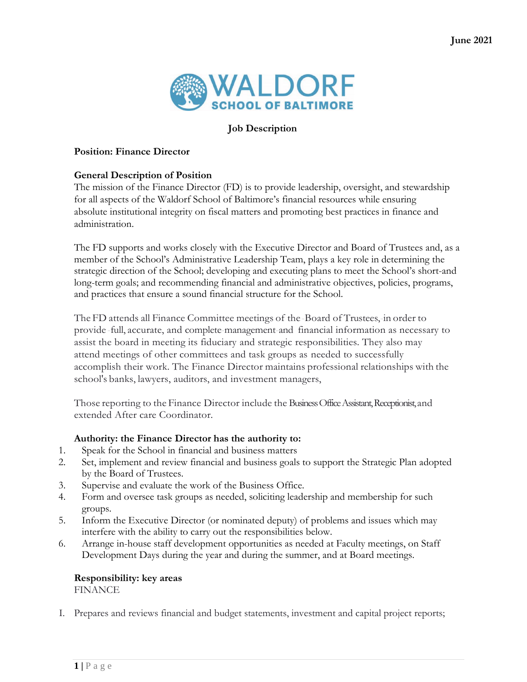

#### **Job Description**

#### **Position: Finance Director**

#### **General Description of Position**

The mission of the Finance Director (FD) is to provide leadership, oversight, and stewardship for all aspects of the Waldorf School of Baltimore's financial resources while ensuring absolute institutional integrity on fiscal matters and promoting best practices in finance and administration.

The FD supports and works closely with the Executive Director and Board of Trustees and, as a member of the School's Administrative Leadership Team, plays a key role in determining the strategic direction of the School; developing and executing plans to meet the School's short-and long-term goals; and recommending financial and administrative objectives, policies, programs, and practices that ensure a sound financial structure for the School.

The FD attends all Finance Committee meetings of the-Board of Trustees,-in order to provide -full, accurate, and complete-management-and financial information as necessary to assist the board in meeting its fiduciary and strategic responsibilities. They also may attend meetings of other committees and task groups as needed to successfully accomplish their work. The Finance Director maintains professional relationships with the school's banks, lawyers, auditors, and investment managers,

Those reporting to the Finance Director include the Business Office Assistant, Receptionist, and extended After care Coordinator.

#### **Authority: the Finance Director has the authority to:**

- 1. Speak for the School in financial and business matters
- 2. Set, implement and review financial and business goals to support the Strategic Plan adopted by the Board of Trustees.
- 3. Supervise and evaluate the work of the Business Office.
- 4. Form and oversee task groups as needed, soliciting leadership and membership for such groups.
- 5. Inform the Executive Director (or nominated deputy) of problems and issues which may interfere with the ability to carry out the responsibilities below.
- 6. Arrange in-house staff development opportunities as needed at Faculty meetings, on Staff Development Days during the year and during the summer, and at Board meetings.

# **Responsibility: key areas**

FINANCE

I. Prepares and reviews financial and budget statements, investment and capital project reports;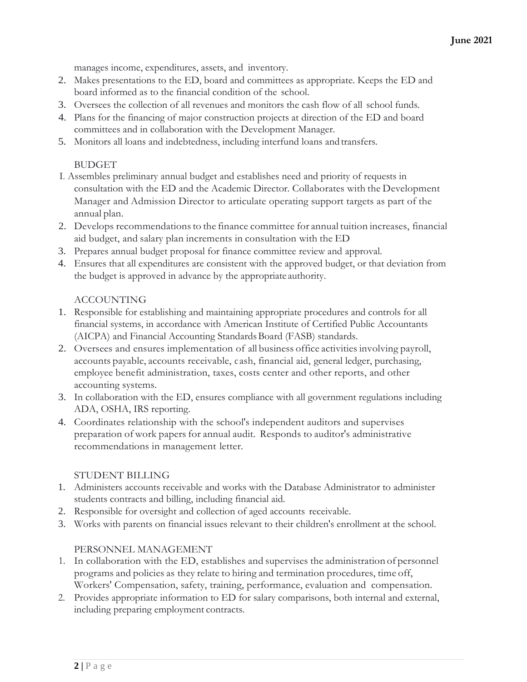manages income, expenditures, assets, and inventory.

- 2. Makes presentations to the ED, board and committees as appropriate. Keeps the ED and board informed as to the financial condition of the school.
- 3. Oversees the collection of all revenues and monitors the cash flow of all school funds.
- 4. Plans for the financing of major construction projects at direction of the ED and board committees and in collaboration with the Development Manager.
- 5. Monitors all loans and indebtedness, including interfund loans andtransfers.

## BUDGET

- I. Assembles preliminary annual budget and establishes need and priority of requests in consultation with the ED and the Academic Director. Collaborates with the Development Manager and Admission Director to articulate operating support targets as part of the annual plan.
- 2. Develops recommendationsto the finance committee for annual tuition increases, financial aid budget, and salary plan increments in consultation with the ED
- 3. Prepares annual budget proposal for finance committee review and approval.
- 4. Ensures that all expenditures are consistent with the approved budget, or that deviation from the budget is approved in advance by the appropriate authority.

# ACCOUNTING

- 1. Responsible for establishing and maintaining appropriate procedures and controls for all financial systems, in accordance with American Institute of Certified Public Accountants (AICPA) and Financial Accounting Standards Board (FASB) standards.
- 2. Oversees and ensures implementation of all business office activities involving payroll, accounts payable, accounts receivable, c ash, financial aid, general ledger, purchasing, employee benefit administration, taxes, costs center and other reports, and other accounting systems.
- 3. In collaboration with the ED, ensures compliance with all government regulations including ADA, OSHA, IRS reporting.
- 4. Coordinates relationship with the school's independent auditors and supervises preparation ofwork papers for annual audit. Responds to auditor's administrative recommendations in management letter.

#### STUDENT BILLING

- 1. Administers accounts receivable and works with the Database Administrator to administer students contracts and billing, including financial aid.
- 2. Responsible for oversight and collection of aged accounts receivable.
- 3. Works with parents on financial issues relevant to their children's enrollment at the school.

# PERSONNEL MANAGEMENT

- 1. In collaboration with the ED, establishes and supervises the administration of personnel programs and policies as they relate to hiring and termination procedures, time off, Workers' Compensation, safety, training, performance, evaluation and compensation.
- 2. Provides appropriate information to ED for salary comparisons, both internal and external, including preparing employment contracts.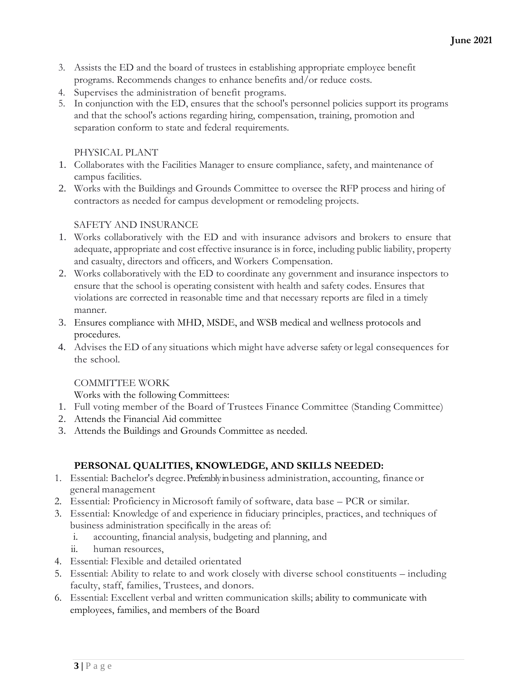- 3. Assists the ED and the board of trustees in establishing appropriate employee benefit programs. Recommends changes to enhance benefits and/or reduce costs.
- 4. Supervises the administration of benefit programs.
- 5. In conjunction with the ED, ensures that the school's personnel policies support its programs and that the school's actions regarding hiring, compensation, training, promotion and separation conform to state and federal requirements.

#### PHYSICAL PLANT

- 1. Collaborates with the Facilities Manager to ensure compliance, safety, and maintenance of campus facilities.
- 2. Works with the Buildings and Grounds Committee to oversee the RFP process and hiring of contractors as needed for campus development or remodeling projects.

### SAFETY AND INSURANCE

- 1. Works collaboratively with the ED and with insurance advisors and brokers to ensure that adequate, appropriate and cost effective insurance is in force, including public liability, property and casualty, directors and officers, and Workers Compensation.
- 2. Works collaboratively with the ED to coordinate any government and insurance inspectors to ensure that the school is operating consistent with health and safety codes. Ensures that violations are corrected in reasonable time and that necessary reports are filed in a timely manner.
- 3. Ensures compliance with MHD, MSDE, and WSB medical and wellness protocols and procedures.
- 4. Advises the ED of any situations which might have adverse safety or legal consequences for the school.

# COMMITTEE WORK

Works with the following Committees:

- 1. Full voting member of the Board of Trustees Finance Committee (Standing Committee)
- 2. Attends the Financial Aid committee
- 3. Attends the Buildings and Grounds Committee as needed.

# **PERSONAL QUALITIES, KNOWLEDGE, AND SKILLS NEEDED:**

- 1. Essential: Bachelor's degree. Preferably in business administration, accounting, finance or general management
- 2. Essential: Proficiency in Microsoft family of software, data base PCR or similar.
- 3. Essential: Knowledge of and experience in fiduciary principles, practices, and techniques of business administration specifically in the areas of:
	- i. accounting, financial analysis, budgeting and planning, and
	- ii. human resources,
- 4. Essential: Flexible and detailed orientated
- 5. Essential: Ability to relate to and work closely with diverse school constituents including faculty, staff, families, Trustees, and donors.
- 6. Essential: Excellent verbal and written communication skills; ability to communicate with employees, families, and members of the Board